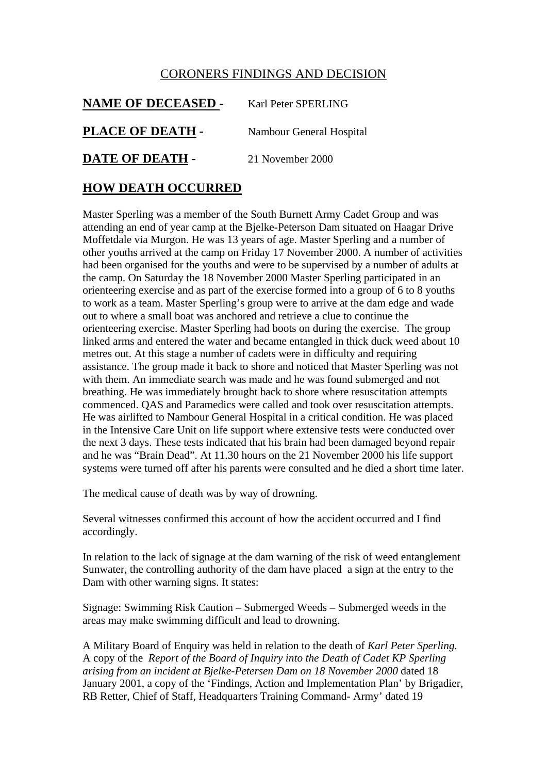## CORONERS FINDINGS AND DECISION

| <b>NAME OF DECEASED -</b> | Karl Peter SPERLING      |
|---------------------------|--------------------------|
| PLACE OF DEATH -          | Nambour General Hospital |
| DATE OF DEATH -           | 21 November 2000         |

## **HOW DEATH OCCURRED**

Master Sperling was a member of the South Burnett Army Cadet Group and was attending an end of year camp at the Bjelke-Peterson Dam situated on Haagar Drive Moffetdale via Murgon. He was 13 years of age. Master Sperling and a number of other youths arrived at the camp on Friday 17 November 2000. A number of activities had been organised for the youths and were to be supervised by a number of adults at the camp. On Saturday the 18 November 2000 Master Sperling participated in an orienteering exercise and as part of the exercise formed into a group of 6 to 8 youths to work as a team. Master Sperling's group were to arrive at the dam edge and wade out to where a small boat was anchored and retrieve a clue to continue the orienteering exercise. Master Sperling had boots on during the exercise. The group linked arms and entered the water and became entangled in thick duck weed about 10 metres out. At this stage a number of cadets were in difficulty and requiring assistance. The group made it back to shore and noticed that Master Sperling was not with them. An immediate search was made and he was found submerged and not breathing. He was immediately brought back to shore where resuscitation attempts commenced. QAS and Paramedics were called and took over resuscitation attempts. He was airlifted to Nambour General Hospital in a critical condition. He was placed in the Intensive Care Unit on life support where extensive tests were conducted over the next 3 days. These tests indicated that his brain had been damaged beyond repair and he was "Brain Dead". At 11.30 hours on the 21 November 2000 his life support systems were turned off after his parents were consulted and he died a short time later.

The medical cause of death was by way of drowning.

Several witnesses confirmed this account of how the accident occurred and I find accordingly.

In relation to the lack of signage at the dam warning of the risk of weed entanglement Sunwater, the controlling authority of the dam have placed a sign at the entry to the Dam with other warning signs. It states:

Signage: Swimming Risk Caution – Submerged Weeds – Submerged weeds in the areas may make swimming difficult and lead to drowning.

A Military Board of Enquiry was held in relation to the death of *Karl Peter Sperling.*  A copy of the *Report of the Board of Inquiry into the Death of Cadet KP Sperling arising from an incident at Bjelke-Petersen Dam on 18 November 2000* dated 18 January 2001, a copy of the 'Findings, Action and Implementation Plan' by Brigadier, RB Retter, Chief of Staff, Headquarters Training Command- Army' dated 19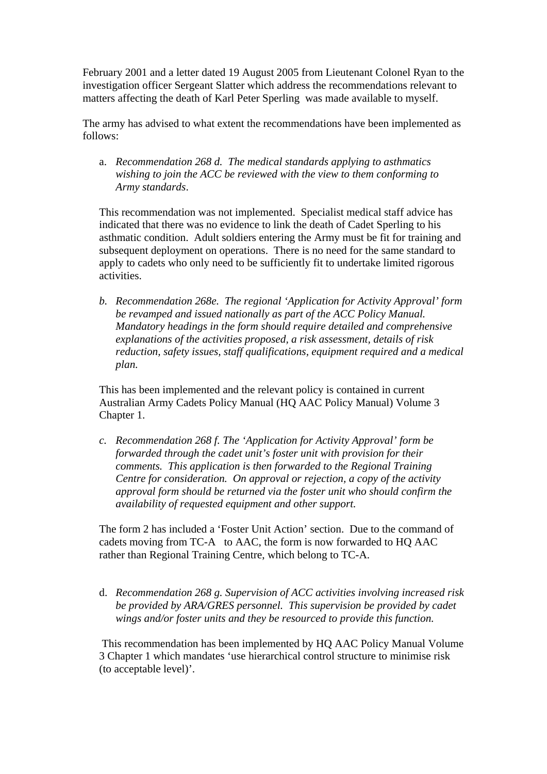February 2001 and a letter dated 19 August 2005 from Lieutenant Colonel Ryan to the investigation officer Sergeant Slatter which address the recommendations relevant to matters affecting the death of Karl Peter Sperling was made available to myself.

The army has advised to what extent the recommendations have been implemented as follows:

a. *Recommendation 268 d. The medical standards applying to asthmatics wishing to join the ACC be reviewed with the view to them conforming to Army standards*.

This recommendation was not implemented. Specialist medical staff advice has indicated that there was no evidence to link the death of Cadet Sperling to his asthmatic condition. Adult soldiers entering the Army must be fit for training and subsequent deployment on operations. There is no need for the same standard to apply to cadets who only need to be sufficiently fit to undertake limited rigorous activities.

*b. Recommendation 268e. The regional 'Application for Activity Approval' form be revamped and issued nationally as part of the ACC Policy Manual. Mandatory headings in the form should require detailed and comprehensive explanations of the activities proposed, a risk assessment, details of risk reduction, safety issues, staff qualifications, equipment required and a medical plan.* 

This has been implemented and the relevant policy is contained in current Australian Army Cadets Policy Manual (HQ AAC Policy Manual) Volume 3 Chapter 1.

*c. Recommendation 268 f. The 'Application for Activity Approval' form be forwarded through the cadet unit's foster unit with provision for their comments. This application is then forwarded to the Regional Training Centre for consideration. On approval or rejection, a copy of the activity approval form should be returned via the foster unit who should confirm the availability of requested equipment and other support.* 

The form 2 has included a 'Foster Unit Action' section. Due to the command of cadets moving from TC-A to AAC, the form is now forwarded to HQ AAC rather than Regional Training Centre, which belong to TC-A.

d. *Recommendation 268 g. Supervision of ACC activities involving increased risk be provided by ARA/GRES personnel. This supervision be provided by cadet wings and/or foster units and they be resourced to provide this function.*

 This recommendation has been implemented by HQ AAC Policy Manual Volume 3 Chapter 1 which mandates 'use hierarchical control structure to minimise risk (to acceptable level)'.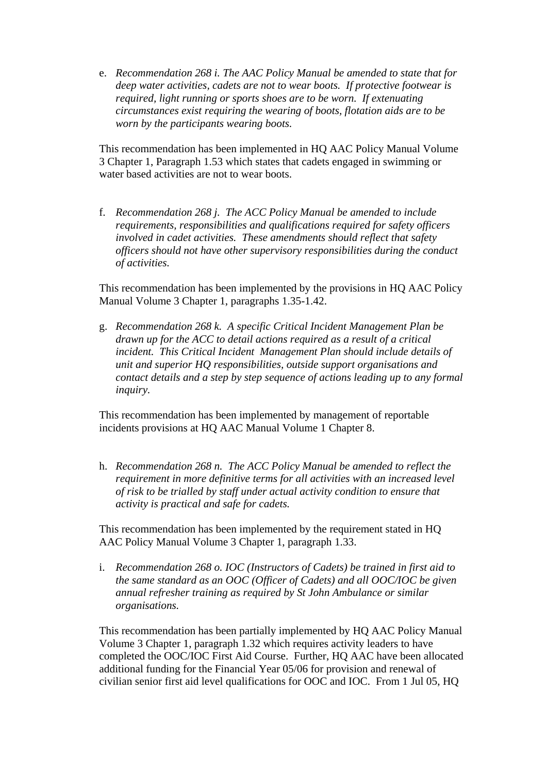e. *Recommendation 268 i. The AAC Policy Manual be amended to state that for deep water activities, cadets are not to wear boots. If protective footwear is required, light running or sports shoes are to be worn. If extenuating circumstances exist requiring the wearing of boots, flotation aids are to be worn by the participants wearing boots.*

This recommendation has been implemented in HQ AAC Policy Manual Volume 3 Chapter 1, Paragraph 1.53 which states that cadets engaged in swimming or water based activities are not to wear boots.

f. *Recommendation 268 j. The ACC Policy Manual be amended to include requirements, responsibilities and qualifications required for safety officers involved in cadet activities. These amendments should reflect that safety officers should not have other supervisory responsibilities during the conduct of activities.*

This recommendation has been implemented by the provisions in HQ AAC Policy Manual Volume 3 Chapter 1, paragraphs 1.35-1.42.

g. *Recommendation 268 k. A specific Critical Incident Management Plan be drawn up for the ACC to detail actions required as a result of a critical incident. This Critical Incident Management Plan should include details of unit and superior HQ responsibilities, outside support organisations and contact details and a step by step sequence of actions leading up to any formal inquiry.* 

This recommendation has been implemented by management of reportable incidents provisions at HQ AAC Manual Volume 1 Chapter 8.

h. *Recommendation 268 n. The ACC Policy Manual be amended to reflect the requirement in more definitive terms for all activities with an increased level of risk to be trialled by staff under actual activity condition to ensure that activity is practical and safe for cadets.*

This recommendation has been implemented by the requirement stated in HQ AAC Policy Manual Volume 3 Chapter 1, paragraph 1.33.

i. *Recommendation 268 o. IOC (Instructors of Cadets) be trained in first aid to the same standard as an OOC (Officer of Cadets) and all OOC/IOC be given annual refresher training as required by St John Ambulance or similar organisations.*

This recommendation has been partially implemented by HQ AAC Policy Manual Volume 3 Chapter 1, paragraph 1.32 which requires activity leaders to have completed the OOC/IOC First Aid Course. Further, HQ AAC have been allocated additional funding for the Financial Year 05/06 for provision and renewal of civilian senior first aid level qualifications for OOC and IOC. From 1 Jul 05, HQ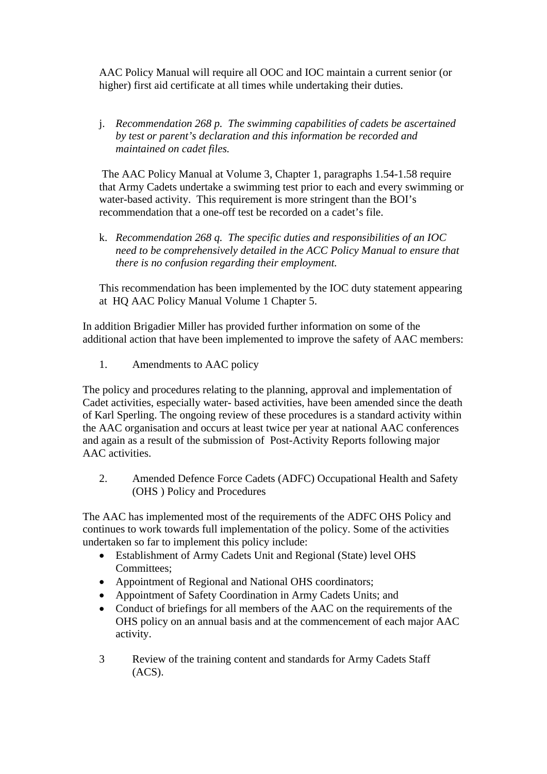AAC Policy Manual will require all OOC and IOC maintain a current senior (or higher) first aid certificate at all times while undertaking their duties.

j. *Recommendation 268 p. The swimming capabilities of cadets be ascertained by test or parent's declaration and this information be recorded and maintained on cadet files.*

 The AAC Policy Manual at Volume 3, Chapter 1, paragraphs 1.54-1.58 require that Army Cadets undertake a swimming test prior to each and every swimming or water-based activity. This requirement is more stringent than the BOI's recommendation that a one-off test be recorded on a cadet's file.

k. *Recommendation 268 q. The specific duties and responsibilities of an IOC need to be comprehensively detailed in the ACC Policy Manual to ensure that there is no confusion regarding their employment.*

This recommendation has been implemented by the IOC duty statement appearing at HQ AAC Policy Manual Volume 1 Chapter 5.

In addition Brigadier Miller has provided further information on some of the additional action that have been implemented to improve the safety of AAC members:

1. Amendments to AAC policy

The policy and procedures relating to the planning, approval and implementation of Cadet activities, especially water- based activities, have been amended since the death of Karl Sperling. The ongoing review of these procedures is a standard activity within the AAC organisation and occurs at least twice per year at national AAC conferences and again as a result of the submission of Post-Activity Reports following major AAC activities.

2. Amended Defence Force Cadets (ADFC) Occupational Health and Safety (OHS ) Policy and Procedures

The AAC has implemented most of the requirements of the ADFC OHS Policy and continues to work towards full implementation of the policy. Some of the activities undertaken so far to implement this policy include:

- Establishment of Army Cadets Unit and Regional (State) level OHS Committees;
- Appointment of Regional and National OHS coordinators;
- Appointment of Safety Coordination in Army Cadets Units; and
- Conduct of briefings for all members of the AAC on the requirements of the OHS policy on an annual basis and at the commencement of each major AAC activity.
- 3 Review of the training content and standards for Army Cadets Staff  $(ACS).$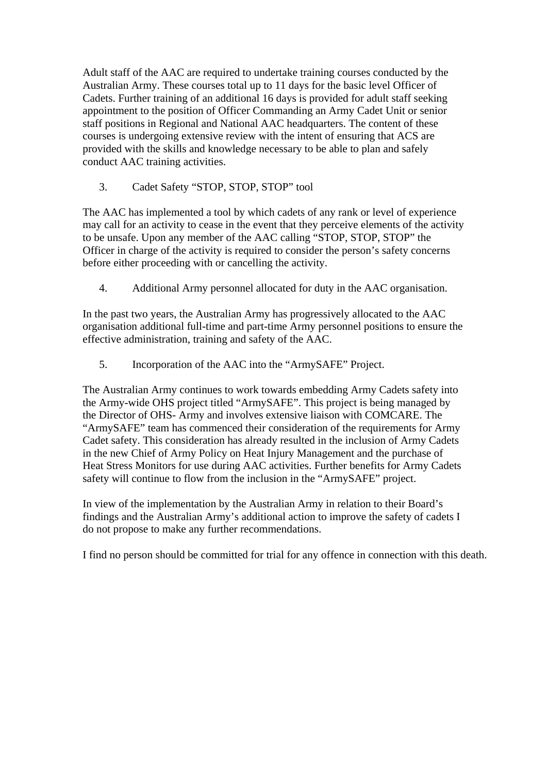Adult staff of the AAC are required to undertake training courses conducted by the Australian Army. These courses total up to 11 days for the basic level Officer of Cadets. Further training of an additional 16 days is provided for adult staff seeking appointment to the position of Officer Commanding an Army Cadet Unit or senior staff positions in Regional and National AAC headquarters. The content of these courses is undergoing extensive review with the intent of ensuring that ACS are provided with the skills and knowledge necessary to be able to plan and safely conduct AAC training activities.

3. Cadet Safety "STOP, STOP, STOP" tool

The AAC has implemented a tool by which cadets of any rank or level of experience may call for an activity to cease in the event that they perceive elements of the activity to be unsafe. Upon any member of the AAC calling "STOP, STOP, STOP" the Officer in charge of the activity is required to consider the person's safety concerns before either proceeding with or cancelling the activity.

4. Additional Army personnel allocated for duty in the AAC organisation.

In the past two years, the Australian Army has progressively allocated to the AAC organisation additional full-time and part-time Army personnel positions to ensure the effective administration, training and safety of the AAC.

5. Incorporation of the AAC into the "ArmySAFE" Project.

The Australian Army continues to work towards embedding Army Cadets safety into the Army-wide OHS project titled "ArmySAFE". This project is being managed by the Director of OHS- Army and involves extensive liaison with COMCARE. The "ArmySAFE" team has commenced their consideration of the requirements for Army Cadet safety. This consideration has already resulted in the inclusion of Army Cadets in the new Chief of Army Policy on Heat Injury Management and the purchase of Heat Stress Monitors for use during AAC activities. Further benefits for Army Cadets safety will continue to flow from the inclusion in the "ArmySAFE" project.

In view of the implementation by the Australian Army in relation to their Board's findings and the Australian Army's additional action to improve the safety of cadets I do not propose to make any further recommendations.

I find no person should be committed for trial for any offence in connection with this death.